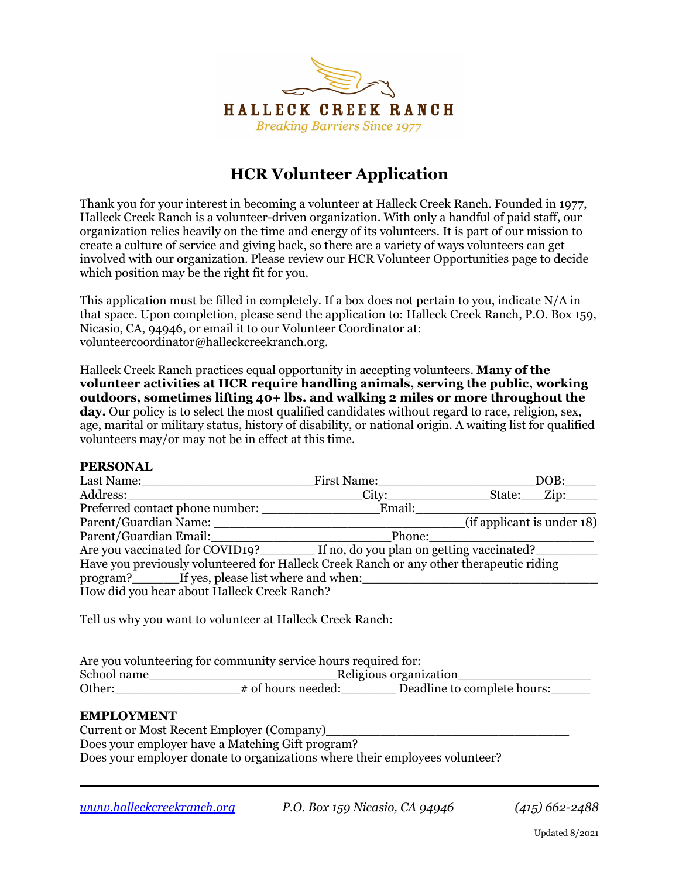

# **HCR Volunteer Application**

Thank you for your interest in becoming a volunteer at Halleck Creek Ranch. Founded in 1977, Halleck Creek Ranch is a volunteer-driven organization. With only a handful of paid staff, our organization relies heavily on the time and energy of its volunteers. It is part of our mission to create a culture of service and giving back, so there are a variety of ways volunteers can get involved with our organization. Please review our HCR Volunteer Opportunities page to decide which position may be the right fit for you.

This application must be filled in completely. If a box does not pertain to you, indicate N/A in that space. Upon completion, please send the application to: Halleck Creek Ranch, P.O. Box 159, Nicasio, CA, 94946, or email it to our Volunteer Coordinator at: volunteercoordinator@halleckcreekranch.org.

Halleck Creek Ranch practices equal opportunity in accepting volunteers. **Many of the volunteer activities at HCR require handling animals, serving the public, working outdoors, sometimes lifting 40+ lbs. and walking 2 miles or more throughout the day.** Our policy is to select the most qualified candidates without regard to race, religion, sex, age, marital or military status, history of disability, or national origin. A waiting list for qualified volunteers may/or may not be in effect at this time.

## **PERSONAL**

| Last Name:                                                                              | First Name: |                            | DOB:            |  |  |  |  |
|-----------------------------------------------------------------------------------------|-------------|----------------------------|-----------------|--|--|--|--|
| Address:                                                                                | City:       | State:                     | $\mathbf{Zip:}$ |  |  |  |  |
| Preferred contact phone number:                                                         | Email:      |                            |                 |  |  |  |  |
| Parent/Guardian Name:                                                                   |             | (if applicant is under 18) |                 |  |  |  |  |
| Parent/Guardian Email:                                                                  | Phone:      |                            |                 |  |  |  |  |
| Are you vaccinated for COVID19? If no, do you plan on getting vaccinated?               |             |                            |                 |  |  |  |  |
| Have you previously volunteered for Halleck Creek Ranch or any other therapeutic riding |             |                            |                 |  |  |  |  |
| program? If yes, please list where and when:                                            |             |                            |                 |  |  |  |  |
| How did you hear about Halleck Creek Ranch?                                             |             |                            |                 |  |  |  |  |
|                                                                                         |             |                            |                 |  |  |  |  |
| Tell us why you want to volunteer at Halleck Creek Ranch:                               |             |                            |                 |  |  |  |  |
|                                                                                         |             |                            |                 |  |  |  |  |
|                                                                                         |             |                            |                 |  |  |  |  |

| Are you volunteering for community service hours required for: |                                                   |  |  |  |  |  |  |  |
|----------------------------------------------------------------|---------------------------------------------------|--|--|--|--|--|--|--|
| School name                                                    | Religious organization                            |  |  |  |  |  |  |  |
| Other:                                                         | Deadline to complete hours:<br># of hours needed: |  |  |  |  |  |  |  |

#### **EMPLOYMENT**

Current or Most Recent Employer (Company) Does your employer have a Matching Gift program? Does your employer donate to organizations where their employees volunteer?